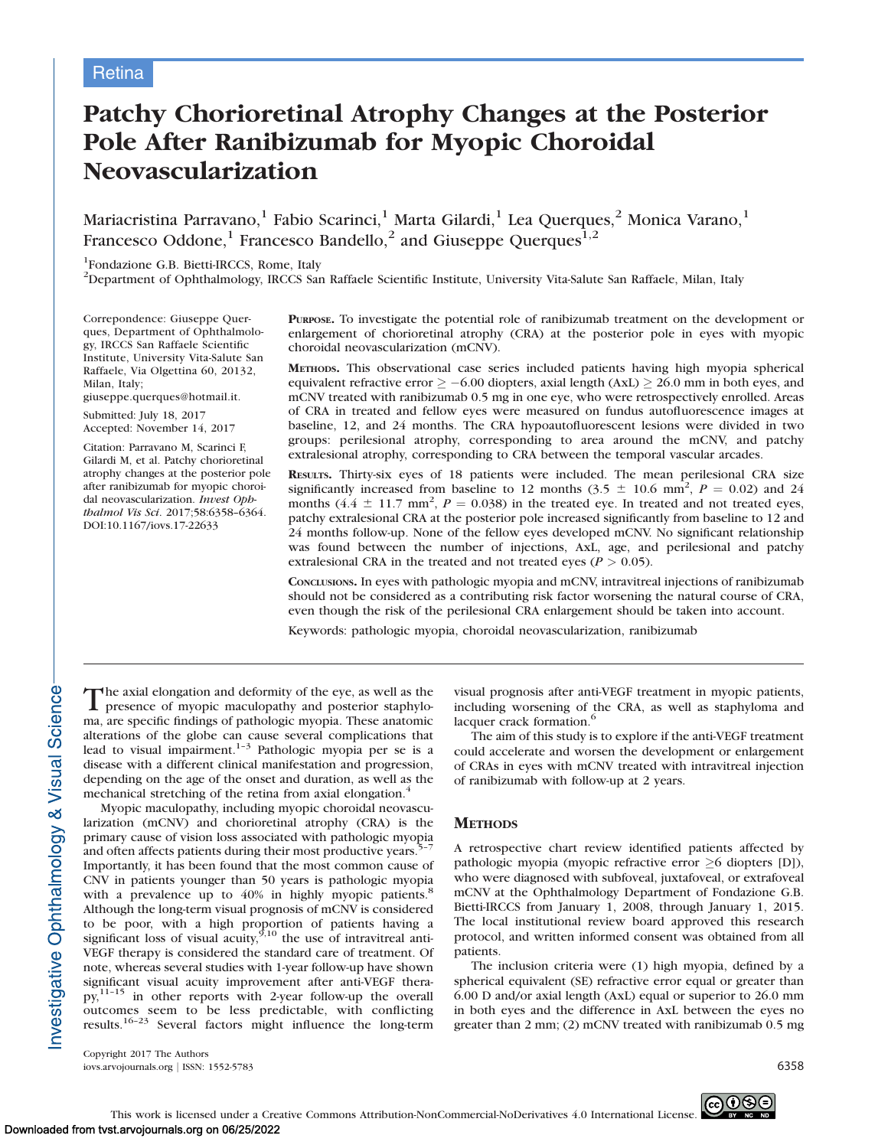# Patchy Chorioretinal Atrophy Changes at the Posterior Pole After Ranibizumab for Myopic Choroidal Neovascularization

Mariacristina Parravano, $^1$  Fabio Scarinci, $^1$  Marta Gilardi, $^1$  Lea Querques, $^2$  Monica Varano, $^1$ Francesco Oddone,<sup>1</sup> Francesco Bandello,<sup>2</sup> and Giuseppe Querques<sup>1,2</sup>

<sup>1</sup>Fondazione G.B. Bietti-IRCCS, Rome, Italy

2 Department of Ophthalmology, IRCCS San Raffaele Scientific Institute, University Vita-Salute San Raffaele, Milan, Italy

Correpondence: Giuseppe Querques, Department of Ophthalmology, IRCCS San Raffaele Scientific Institute, University Vita-Salute San Raffaele, Via Olgettina 60, 20132, Milan, Italy;

giuseppe.querques@hotmail.it.

Submitted: July 18, 2017 Accepted: November 14, 2017

Citation: Parravano M, Scarinci F, Gilardi M, et al. Patchy chorioretinal atrophy changes at the posterior pole after ranibizumab for myopic choroidal neovascularization. Invest Ophthalmol Vis Sci. 2017;58:6358–6364. DOI:10.1167/iovs.17-22633

PURPOSE. To investigate the potential role of ranibizumab treatment on the development or enlargement of chorioretinal atrophy (CRA) at the posterior pole in eyes with myopic choroidal neovascularization (mCNV).

METHODS. This observational case series included patients having high myopia spherical equivalent refractive error  $\ge -6.00$  diopters, axial length (AxL)  $\ge 26.0$  mm in both eyes, and mCNV treated with ranibizumab 0.5 mg in one eye, who were retrospectively enrolled. Areas of CRA in treated and fellow eyes were measured on fundus autofluorescence images at baseline, 12, and 24 months. The CRA hypoautofluorescent lesions were divided in two groups: perilesional atrophy, corresponding to area around the mCNV, and patchy extralesional atrophy, corresponding to CRA between the temporal vascular arcades.

RESULTS. Thirty-six eyes of 18 patients were included. The mean perilesional CRA size significantly increased from baseline to 12 months (3.5  $\pm$  10.6 mm<sup>2</sup>, P = 0.02) and 24 months  $(4.4 \pm 11.7 \text{ mm}^2, P = 0.038)$  in the treated eye. In treated and not treated eyes, patchy extralesional CRA at the posterior pole increased significantly from baseline to 12 and 24 months follow-up. None of the fellow eyes developed mCNV. No significant relationship was found between the number of injections, AxL, age, and perilesional and patchy extralesional CRA in the treated and not treated eyes ( $P > 0.05$ ).

CONCLUSIONS. In eyes with pathologic myopia and mCNV, intravitreal injections of ranibizumab should not be considered as a contributing risk factor worsening the natural course of CRA, even though the risk of the perilesional CRA enlargement should be taken into account.

Keywords: pathologic myopia, choroidal neovascularization, ranibizumab

The axial elongation and deformity of the eye, as well as the presence of myopic maculopathy and posterior staphyloma, are specific findings of pathologic myopia. These anatomic alterations of the globe can cause several complications that lead to visual impairment.<sup>1-3</sup> Pathologic myopia per se is a disease with a different clinical manifestation and progression, depending on the age of the onset and duration, as well as the mechanical stretching of the retina from axial elongation.<sup>4</sup>

Myopic maculopathy, including myopic choroidal neovascularization (mCNV) and chorioretinal atrophy (CRA) is the primary cause of vision loss associated with pathologic myopia and often affects patients during their most productive years.<sup>5</sup> Importantly, it has been found that the most common cause of CNV in patients younger than 50 years is pathologic myopia with a prevalence up to 40% in highly myopic patients.<sup>8</sup> Although the long-term visual prognosis of mCNV is considered to be poor, with a high proportion of patients having a significant loss of visual acuity,  $9.10$  the use of intravitreal anti-VEGF therapy is considered the standard care of treatment. Of note, whereas several studies with 1-year follow-up have shown significant visual acuity improvement after anti-VEGF therapy,11–15 in other reports with 2-year follow-up the overall outcomes seem to be less predictable, with conflicting results.<sup>16–23</sup> Several factors might influence the long-term visual prognosis after anti-VEGF treatment in myopic patients, including worsening of the CRA, as well as staphyloma and lacquer crack formation.<sup>6</sup>

The aim of this study is to explore if the anti-VEGF treatment could accelerate and worsen the development or enlargement of CRAs in eyes with mCNV treated with intravitreal injection of ranibizumab with follow-up at 2 years.

## **METHODS**

A retrospective chart review identified patients affected by pathologic myopia (myopic refractive error  $\geq 6$  diopters [D]), who were diagnosed with subfoveal, juxtafoveal, or extrafoveal mCNV at the Ophthalmology Department of Fondazione G.B. Bietti-IRCCS from January 1, 2008, through January 1, 2015. The local institutional review board approved this research protocol, and written informed consent was obtained from all patients.

The inclusion criteria were (1) high myopia, defined by a spherical equivalent (SE) refractive error equal or greater than 6.00 D and/or axial length (AxL) equal or superior to 26.0 mm in both eyes and the difference in AxL between the eyes no greater than 2 mm; (2) mCNV treated with ranibizumab 0.5 mg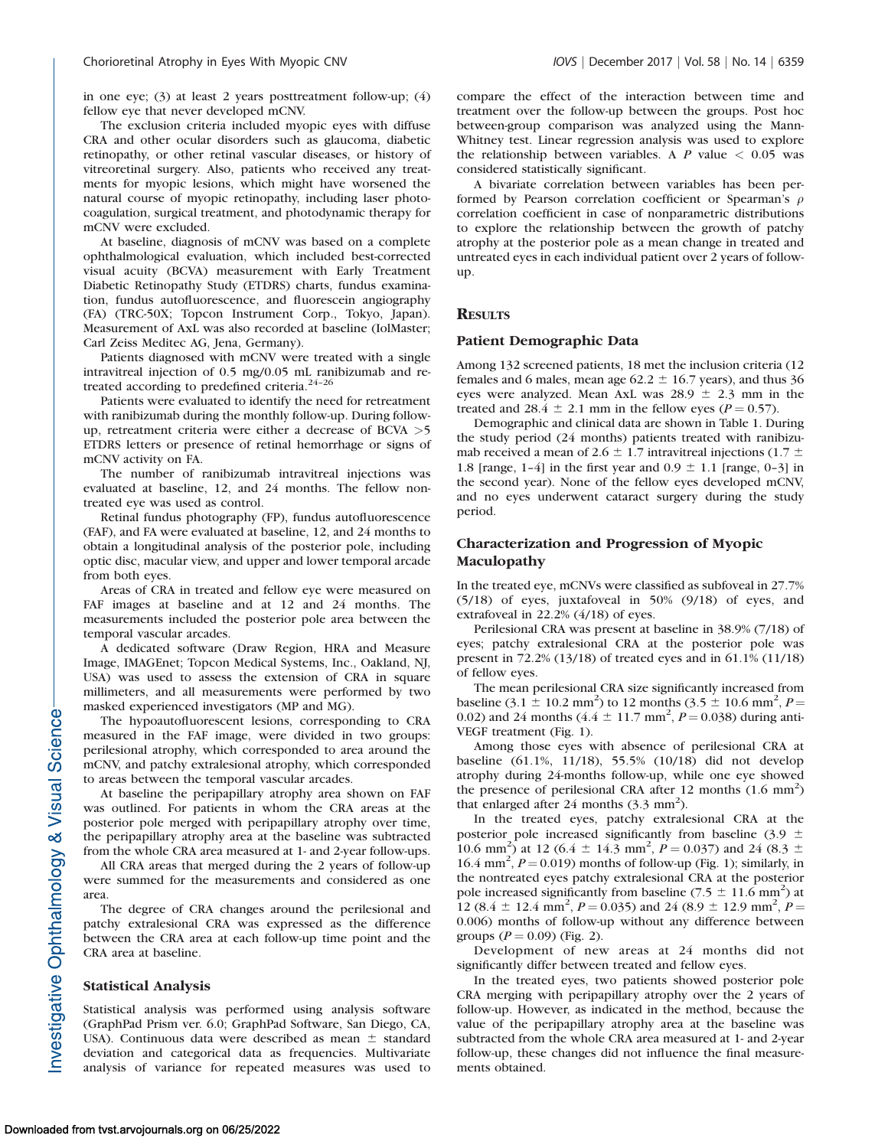in one eye; (3) at least 2 years posttreatment follow-up; (4) fellow eye that never developed mCNV.

The exclusion criteria included myopic eyes with diffuse CRA and other ocular disorders such as glaucoma, diabetic retinopathy, or other retinal vascular diseases, or history of vitreoretinal surgery. Also, patients who received any treatments for myopic lesions, which might have worsened the natural course of myopic retinopathy, including laser photocoagulation, surgical treatment, and photodynamic therapy for mCNV were excluded.

At baseline, diagnosis of mCNV was based on a complete ophthalmological evaluation, which included best-corrected visual acuity (BCVA) measurement with Early Treatment Diabetic Retinopathy Study (ETDRS) charts, fundus examination, fundus autofluorescence, and fluorescein angiography (FA) (TRC-50X; Topcon Instrument Corp., Tokyo, Japan). Measurement of AxL was also recorded at baseline (IolMaster; Carl Zeiss Meditec AG, Jena, Germany).

Patients diagnosed with mCNV were treated with a single intravitreal injection of 0.5 mg/0.05 mL ranibizumab and retreated according to predefined criteria.<sup>24-26</sup>

Patients were evaluated to identify the need for retreatment with ranibizumab during the monthly follow-up. During followup, retreatment criteria were either a decrease of BCVA >5 ETDRS letters or presence of retinal hemorrhage or signs of mCNV activity on FA.

The number of ranibizumab intravitreal injections was evaluated at baseline, 12, and 24 months. The fellow nontreated eye was used as control.

Retinal fundus photography (FP), fundus autofluorescence (FAF), and FA were evaluated at baseline, 12, and 24 months to obtain a longitudinal analysis of the posterior pole, including optic disc, macular view, and upper and lower temporal arcade from both eyes.

Areas of CRA in treated and fellow eye were measured on FAF images at baseline and at 12 and 24 months. The measurements included the posterior pole area between the temporal vascular arcades.

A dedicated software (Draw Region, HRA and Measure Image, IMAGEnet; Topcon Medical Systems, Inc., Oakland, NJ, USA) was used to assess the extension of CRA in square millimeters, and all measurements were performed by two masked experienced investigators (MP and MG).

The hypoautofluorescent lesions, corresponding to CRA measured in the FAF image, were divided in two groups: perilesional atrophy, which corresponded to area around the mCNV, and patchy extralesional atrophy, which corresponded to areas between the temporal vascular arcades.

At baseline the peripapillary atrophy area shown on FAF was outlined. For patients in whom the CRA areas at the posterior pole merged with peripapillary atrophy over time, the peripapillary atrophy area at the baseline was subtracted from the whole CRA area measured at 1- and 2-year follow-ups.

All CRA areas that merged during the 2 years of follow-up were summed for the measurements and considered as one area.

The degree of CRA changes around the perilesional and patchy extralesional CRA was expressed as the difference between the CRA area at each follow-up time point and the CRA area at baseline.

#### Statistical Analysis

Statistical analysis was performed using analysis software (GraphPad Prism ver. 6.0; GraphPad Software, San Diego, CA, USA). Continuous data were described as mean  $\pm$  standard deviation and categorical data as frequencies. Multivariate analysis of variance for repeated measures was used to

compare the effect of the interaction between time and treatment over the follow-up between the groups. Post hoc between-group comparison was analyzed using the Mann-Whitney test. Linear regression analysis was used to explore the relationship between variables. A P value  $< 0.05$  was considered statistically significant.

A bivariate correlation between variables has been performed by Pearson correlation coefficient or Spearman's  $\rho$ correlation coefficient in case of nonparametric distributions to explore the relationship between the growth of patchy atrophy at the posterior pole as a mean change in treated and untreated eyes in each individual patient over 2 years of followup.

### **RESULTS**

#### Patient Demographic Data

Among 132 screened patients, 18 met the inclusion criteria (12 females and 6 males, mean age 62.2  $\pm$  16.7 years), and thus 36 eyes were analyzed. Mean AxL was  $28.9 \pm 2.3$  mm in the treated and 28.4  $\pm$  2.1 mm in the fellow eyes (P = 0.57).

Demographic and clinical data are shown in Table 1. During the study period (24 months) patients treated with ranibizumab received a mean of 2.6  $\pm$  1.7 intravitreal injections (1.7  $\pm$ 1.8 [range, 1–4] in the first year and  $0.9 \pm 1.1$  [range, 0–3] in the second year). None of the fellow eyes developed mCNV, and no eyes underwent cataract surgery during the study period.

## Characterization and Progression of Myopic Maculopathy

In the treated eye, mCNVs were classified as subfoveal in 27.7% (5/18) of eyes, juxtafoveal in 50% (9/18) of eyes, and extrafoveal in 22.2% (4/18) of eyes.

Perilesional CRA was present at baseline in 38.9% (7/18) of eyes; patchy extralesional CRA at the posterior pole was present in 72.2% (13/18) of treated eyes and in 61.1% (11/18) of fellow eyes.

The mean perilesional CRA size significantly increased from baseline (3.1  $\pm$  10.2 mm<sup>2</sup>) to 12 months (3.5  $\pm$  10.6 mm<sup>2</sup>, P= 0.02) and 24 months  $(4.4 \pm 11.7 \text{ mm}^2, P = 0.038)$  during anti-VEGF treatment (Fig. 1).

Among those eyes with absence of perilesional CRA at baseline (61.1%, 11/18), 55.5% (10/18) did not develop atrophy during 24-months follow-up, while one eye showed the presence of perilesional CRA after 12 months (1.6 mm<sup>2</sup>) that enlarged after 24 months  $(3.3 \text{ mm}^2)$ .

In the treated eyes, patchy extralesional CRA at the posterior pole increased significantly from baseline (3.9  $\pm$ 10.6 mm<sup>2</sup>) at 12 (6.4  $\pm$  14.3 mm<sup>2</sup>,  $P = 0.037$ ) and 24 (8.3  $\pm$  $16.4$  mm<sup>2</sup>,  $P = 0.019$ ) months of follow-up (Fig. 1); similarly, in the nontreated eyes patchy extralesional CRA at the posterior pole increased significantly from baseline  $(7.5 \pm 11.6 \text{ mm}^2)$  at 12 (8.4  $\pm$  12.4 mm<sup>2</sup>, P = 0.035) and 24 (8.9  $\pm$  12.9 mm<sup>2</sup>, P = 0.006) months of follow-up without any difference between groups  $(P = 0.09)$  (Fig. 2).

Development of new areas at 24 months did not significantly differ between treated and fellow eyes.

In the treated eyes, two patients showed posterior pole CRA merging with peripapillary atrophy over the 2 years of follow-up. However, as indicated in the method, because the value of the peripapillary atrophy area at the baseline was subtracted from the whole CRA area measured at 1- and 2-year follow-up, these changes did not influence the final measurements obtained.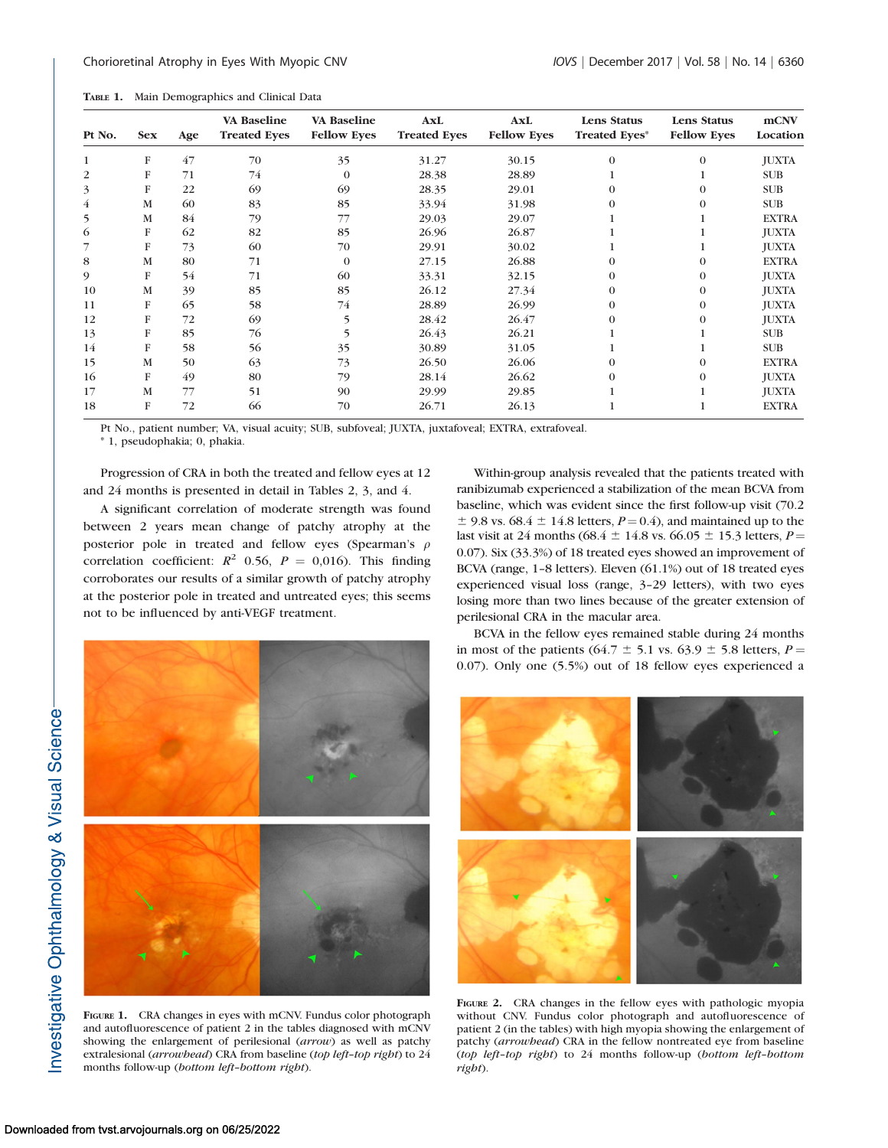| TABLE 1. |  | Main Demographics and Clinical Data |  |  |  |
|----------|--|-------------------------------------|--|--|--|
|----------|--|-------------------------------------|--|--|--|

| Pt No. | <b>Sex</b> | Age | VA Baseline<br><b>Treated Eves</b> | <b>VA Baseline</b><br><b>Fellow Eves</b> | AxL<br><b>Treated Eves</b> | <b>AxL</b><br><b>Fellow Eyes</b> | Lens Status<br><b>Treated Eves*</b> | Lens Status<br><b>Fellow Eves</b> | mCNV<br>Location |
|--------|------------|-----|------------------------------------|------------------------------------------|----------------------------|----------------------------------|-------------------------------------|-----------------------------------|------------------|
|        | F          | 47  | 70                                 | 35                                       | 31.27                      | 30.15                            | $\Omega$                            | $\Omega$                          | <b>JUXTA</b>     |
| 2      | F          | 71  | 74                                 | $\Omega$                                 | 28.38                      | 28.89                            |                                     |                                   | <b>SUB</b>       |
| 3      | F          | 22  | 69                                 | 69                                       | 28.35                      | 29.01                            |                                     | $\Omega$                          | <b>SUB</b>       |
| 4      | M          | 60  | 83                                 | 85                                       | 33.94                      | 31.98                            | 0                                   | $\Omega$                          | <b>SUB</b>       |
| 5      | M          | 84  | 79                                 | 77                                       | 29.03                      | 29.07                            |                                     |                                   | <b>EXTRA</b>     |
| 6      | F          | 62  | 82                                 | 85                                       | 26.96                      | 26.87                            |                                     |                                   | <b>JUXTA</b>     |
|        | F          | 73  | 60                                 | 70                                       | 29.91                      | 30.02                            |                                     |                                   | <b>JUXTA</b>     |
| 8      | M          | 80  | 71                                 | $\Omega$                                 | 27.15                      | 26.88                            | 0                                   | $\Omega$                          | <b>EXTRA</b>     |
| 9      | F          | 54  | 71                                 | 60                                       | 33.31                      | 32.15                            | 0                                   | $\theta$                          | <b>JUXTA</b>     |
| 10     | М          | 39  | 85                                 | 85                                       | 26.12                      | 27.34                            | $\Omega$                            | $\theta$                          | <b>JUXTA</b>     |
| 11     | F          | 65  | 58                                 | 74                                       | 28.89                      | 26.99                            | $\Omega$                            | $\theta$                          | <b>JUXTA</b>     |
| 12     | F          | 72  | 69                                 | 5                                        | 28.42                      | 26.47                            |                                     | $\Omega$                          | <b>JUXTA</b>     |
| 13     | F          | 85  | 76                                 |                                          | 26.43                      | 26.21                            |                                     |                                   | <b>SUB</b>       |
| 14     | F          | 58  | 56                                 | 35                                       | 30.89                      | 31.05                            |                                     |                                   | <b>SUB</b>       |
| 15     | M          | 50  | 63                                 | 73                                       | 26.50                      | 26.06                            |                                     | $\Omega$                          | <b>EXTRA</b>     |
| 16     | F          | 49  | 80                                 | 79                                       | 28.14                      | 26.62                            |                                     | $\Omega$                          | <b>JUXTA</b>     |
| 17     | М          | 77  | 51                                 | 90                                       | 29.99                      | 29.85                            |                                     |                                   | <b>JUXTA</b>     |
| 18     | F          | 72  | 66                                 | 70                                       | 26.71                      | 26.13                            |                                     |                                   | <b>EXTRA</b>     |

Pt No., patient number; VA, visual acuity; SUB, subfoveal; JUXTA, juxtafoveal; EXTRA, extrafoveal.

\* 1, pseudophakia; 0, phakia.

Progression of CRA in both the treated and fellow eyes at 12 and 24 months is presented in detail in Tables 2, 3, and 4.

A significant correlation of moderate strength was found between 2 years mean change of patchy atrophy at the posterior pole in treated and fellow eyes (Spearman's  $\rho$ correlation coefficient:  $R^2$  0.56,  $P = 0.016$ ). This finding corroborates our results of a similar growth of patchy atrophy at the posterior pole in treated and untreated eyes; this seems not to be influenced by anti-VEGF treatment.

Within-group analysis revealed that the patients treated with ranibizumab experienced a stabilization of the mean BCVA from baseline, which was evident since the first follow-up visit (70.2  $\pm$  9.8 vs. 68.4  $\pm$  14.8 letters,  $P = 0.4$ ), and maintained up to the last visit at 24 months (68.4  $\pm$  14.8 vs. 66.05  $\pm$  15.3 letters, *P* = 0.07). Six (33.3%) of 18 treated eyes showed an improvement of BCVA (range, 1–8 letters). Eleven (61.1%) out of 18 treated eyes experienced visual loss (range, 3–29 letters), with two eyes losing more than two lines because of the greater extension of perilesional CRA in the macular area.

BCVA in the fellow eyes remained stable during 24 months in most of the patients (64.7  $\pm$  5.1 vs. 63.9  $\pm$  5.8 letters, P = 0.07). Only one (5.5%) out of 18 fellow eyes experienced a



FIGURE 1. CRA changes in eyes with mCNV. Fundus color photograph and autofluorescence of patient 2 in the tables diagnosed with mCNV showing the enlargement of perilesional (arrow) as well as patchy extralesional (arrowhead) CRA from baseline (top left-top right) to 24 months follow-up (bottom left–bottom right).



FIGURE 2. CRA changes in the fellow eyes with pathologic myopia without CNV. Fundus color photograph and autofluorescence of patient 2 (in the tables) with high myopia showing the enlargement of patchy (arrowhead) CRA in the fellow nontreated eye from baseline (top left–top right) to 24 months follow-up (bottom left–bottom right).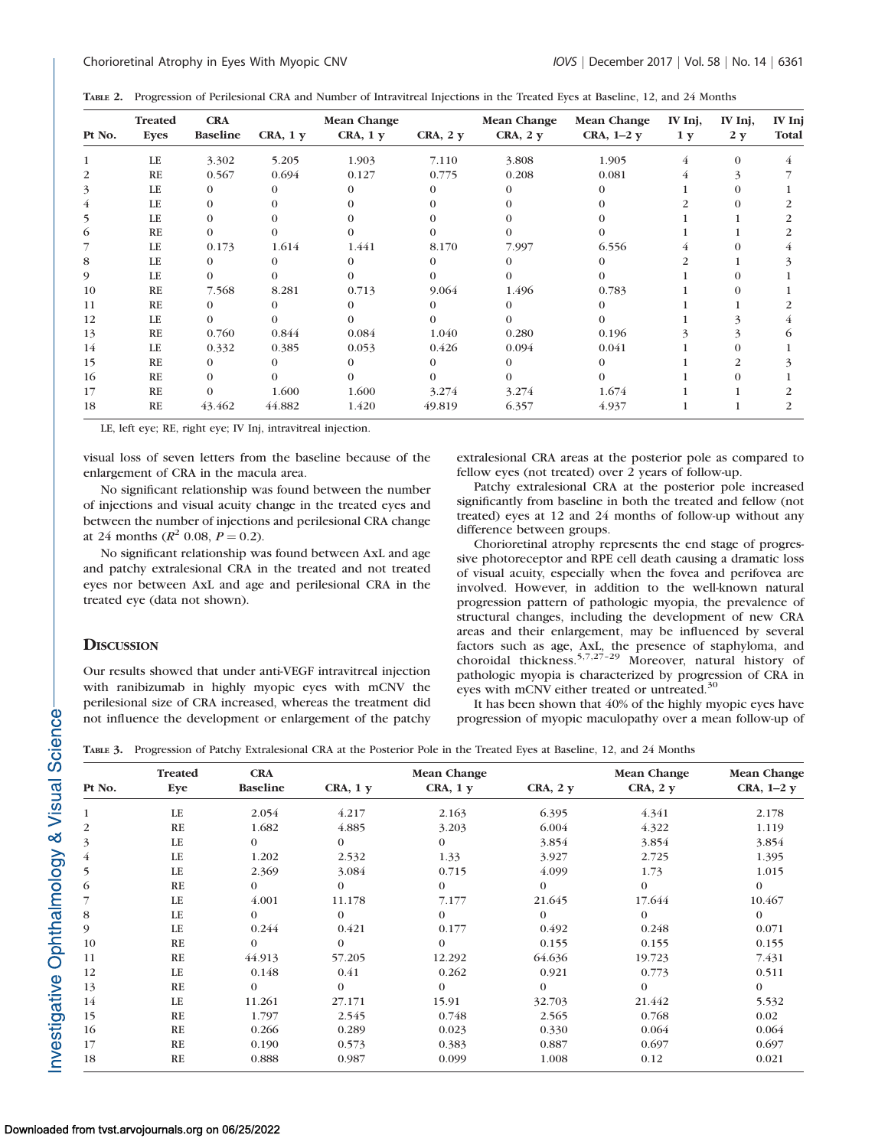| Pt No. | <b>Treated</b><br><b>Eyes</b> | <b>CRA</b><br><b>Baseline</b> | $CRA$ , $1y$ | <b>Mean Change</b><br>$CRA$ , $1y$ | $CRA$ , $2y$ | <b>Mean Change</b><br>$CRA$ , $2y$ | <b>Mean Change</b><br>CRA, $1-2y$ | IV Inj,<br>1 <sub>y</sub> | IV Inj,<br>2 y | IV Inj<br>Total |
|--------|-------------------------------|-------------------------------|--------------|------------------------------------|--------------|------------------------------------|-----------------------------------|---------------------------|----------------|-----------------|
|        |                               |                               |              |                                    |              |                                    |                                   |                           |                |                 |
|        | LE                            | 3.302                         | 5.205        | 1.903                              | 7.110        | 3.808                              | 1.905                             | 4                         | $\Omega$       |                 |
| 2      | RE                            | 0.567                         | 0.694        | 0.127                              | 0.775        | 0.208                              | 0.081                             | 4                         |                |                 |
| 3      | LE                            | $\Omega$                      | $\Omega$     |                                    |              |                                    | $^{\circ}$                        |                           |                |                 |
|        | LE                            | $\Omega$                      | 0            |                                    |              |                                    |                                   |                           |                |                 |
|        | LE                            | $\Omega$                      |              |                                    |              |                                    |                                   |                           |                |                 |
| 6      | <b>RE</b>                     | $\Omega$                      |              |                                    |              |                                    |                                   |                           |                |                 |
|        | LE                            | 0.173                         | 1.614        | 1.441                              | 8.170        | 7.997                              | 6.556                             | 4                         |                |                 |
| 8      | LE                            | $\Omega$                      | 0            |                                    | $\Omega$     |                                    | $^{\circ}$                        |                           |                |                 |
| 9      | LE                            | $\Omega$                      | 0            |                                    | 0            |                                    | $\Omega$                          |                           |                |                 |
| 10     | <b>RE</b>                     | 7.568                         | 8.281        | 0.713                              | 9.064        | 1.496                              | 0.783                             |                           |                |                 |
| 11     | RE                            | $\Omega$                      | $\Omega$     |                                    |              |                                    |                                   |                           |                |                 |
| 12     | LE                            | $\Omega$                      | 0            |                                    | $^{\circ}$   |                                    | $\Omega$                          |                           |                |                 |
| 13     | RE                            | 0.760                         | 0.844        | 0.084                              | 1.040        | 0.280                              | 0.196                             |                           |                |                 |
| 14     | LE                            | 0.332                         | 0.385        | 0.053                              | 0.426        | 0.094                              | 0.041                             |                           |                |                 |
| 15     | <b>RE</b>                     | $\Omega$                      | 0            | 0                                  | $\Omega$     | 0                                  | $\Omega$                          |                           |                |                 |
| 16     | RE                            | $\Omega$                      | 0            |                                    |              |                                    | $\Omega$                          |                           |                |                 |
| 17     | RE                            |                               | 1.600        | 1.600                              | 3.274        | 3.274                              | 1.674                             |                           |                |                 |
| 18     | <b>RE</b>                     | 43.462                        | 44.882       | 1.420                              | 49.819       | 6.357                              | 4.937                             |                           |                |                 |

LE, left eye; RE, right eye; IV Inj, intravitreal injection.

visual loss of seven letters from the baseline because of the enlargement of CRA in the macula area.

No significant relationship was found between the number of injections and visual acuity change in the treated eyes and between the number of injections and perilesional CRA change at 24 months ( $R^2$  0.08,  $P = 0.2$ ).

No significant relationship was found between AxL and age and patchy extralesional CRA in the treated and not treated eyes nor between AxL and age and perilesional CRA in the treated eye (data not shown).

#### **DISCUSSION**

Our results showed that under anti-VEGF intravitreal injection with ranibizumab in highly myopic eyes with mCNV the perilesional size of CRA increased, whereas the treatment did not influence the development or enlargement of the patchy extralesional CRA areas at the posterior pole as compared to fellow eyes (not treated) over 2 years of follow-up.

Patchy extralesional CRA at the posterior pole increased significantly from baseline in both the treated and fellow (not treated) eyes at 12 and 24 months of follow-up without any difference between groups.

Chorioretinal atrophy represents the end stage of progressive photoreceptor and RPE cell death causing a dramatic loss of visual acuity, especially when the fovea and perifovea are involved. However, in addition to the well-known natural progression pattern of pathologic myopia, the prevalence of structural changes, including the development of new CRA areas and their enlargement, may be influenced by several factors such as age, AxL, the presence of staphyloma, and choroidal thickness.<sup>5,7,27-29</sup> Moreover, natural history of pathologic myopia is characterized by progression of CRA in eyes with mCNV either treated or untreated.<sup>30</sup>

It has been shown that 40% of the highly myopic eyes have progression of myopic maculopathy over a mean follow-up of

|  |  | TABLE 3. Progression of Patchy Extralesional CRA at the Posterior Pole in the Treated Eyes at Baseline, 12, and 24 Months |  |  |  |
|--|--|---------------------------------------------------------------------------------------------------------------------------|--|--|--|
|--|--|---------------------------------------------------------------------------------------------------------------------------|--|--|--|

|        | <b>Treated</b> | <b>CRA</b>      |              | <b>Mean Change</b> | <b>Mean Change</b> | <b>Mean Change</b> |             |
|--------|----------------|-----------------|--------------|--------------------|--------------------|--------------------|-------------|
| Pt No. | Eye            | <b>Baseline</b> | $CRA$ , $1y$ | $CRA$ , $1y$       | $CRA$ , $2y$       | $CRA$ , $2y$       | CRA, $1-2y$ |
| 1      | LE             | 2.054           | 4.217        | 2.163              | 6.395              | 4.341              | 2.178       |
| 2      | RE             | 1.682           | 4.885        | 3.203              | 6.004              | 4.322              | 1.119       |
| 3      | LE             | $\Omega$        | $\Omega$     | $\Omega$           | 3.854              | 3.854              | 3.854       |
| 4      | LE             | 1.202           | 2.532        | 1.33               | 3.927              | 2.725              | 1.395       |
| 5      | LE             | 2.369           | 3.084        | 0.715              | 4.099              | 1.73               | 1.015       |
| 6      | RE             | $\Omega$        | $\Omega$     | $\theta$           | $\Omega$           | $\theta$           | $\Omega$    |
|        | LE             | 4.001           | 11.178       | 7.177              | 21.645             | 17.644             | 10.467      |
| 8      | LE             | $\Omega$        | $\Omega$     | $\Omega$           | $\Omega$           | $\Omega$           | $\Omega$    |
| 9      | LE             | 0.244           | 0.421        | 0.177              | 0.492              | 0.248              | 0.071       |
| 10     | RE             | $\Omega$        | $\Omega$     | $\Omega$           | 0.155              | 0.155              | 0.155       |
| 11     | RE             | 44.913          | 57.205       | 12.292             | 64.636             | 19.723             | 7.431       |
| 12     | LE             | 0.148           | 0.41         | 0.262              | 0.921              | 0.773              | 0.511       |
| 13     | RE             | $\Omega$        | $\Omega$     | $\Omega$           | $\Omega$           | $\Omega$           | $\Omega$    |
| 14     | LE             | 11.261          | 27.171       | 15.91              | 32.703             | 21.442             | 5.532       |
| 15     | RE             | 1.797           | 2.545        | 0.748              | 2.565              | 0.768              | 0.02        |
| 16     | RE             | 0.266           | 0.289        | 0.023              | 0.330              | 0.064              | 0.064       |
| 17     | RE             | 0.190           | 0.573        | 0.383              | 0.887              | 0.697              | 0.697       |
| 18     | <b>RE</b>      | 0.888           | 0.987        | 0.099              | 1.008              | 0.12               | 0.021       |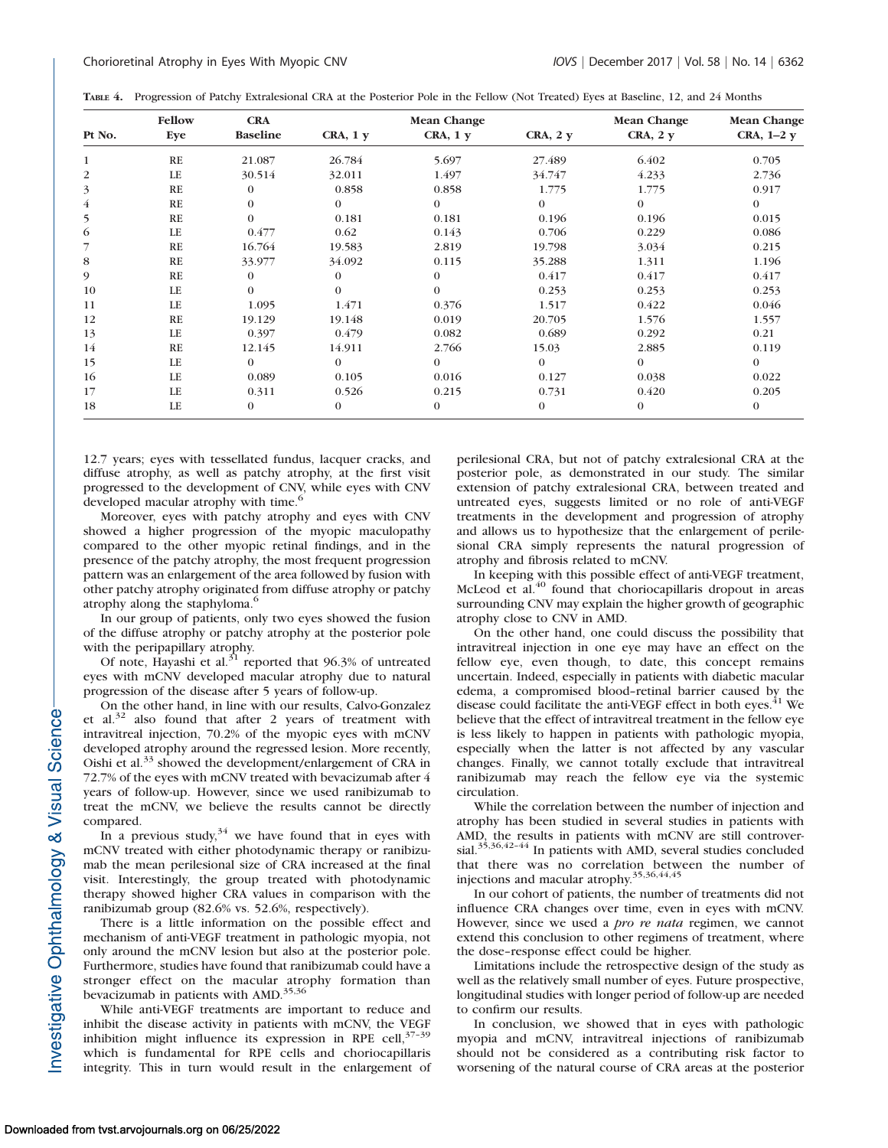|  | TABLE 4. Progression of Patchy Extralesional CRA at the Posterior Pole in the Fellow (Not Treated) Eyes at Baseline, 12, and 24 Months |  |  |  |  |  |  |
|--|----------------------------------------------------------------------------------------------------------------------------------------|--|--|--|--|--|--|
|--|----------------------------------------------------------------------------------------------------------------------------------------|--|--|--|--|--|--|

|                | Fellow    | <b>CRA</b>      |              | <b>Mean Change</b> |                | <b>Mean Change</b><br>$CRA$ , $2y$ | <b>Mean Change</b> |
|----------------|-----------|-----------------|--------------|--------------------|----------------|------------------------------------|--------------------|
| Pt No.         | Eye       | <b>Baseline</b> | $CRA$ , $1y$ | $CRA$ , $1y$       | $CRA$ , $2y$   |                                    | CRA, $1-2y$        |
| $\mathbf{1}$   | RE        | 21.087          | 26.784       | 5.697              | 27.489         | 6.402                              | 0.705              |
| $\overline{c}$ | LE        | 30.514          | 32.011       | 1.497              | 34.747         | 4.233                              | 2.736              |
| 3              | RE        | $\Omega$        | 0.858        | 0.858              | 1.775          | 1.775                              | 0.917              |
| $\overline{4}$ | RE        | $\Omega$        | $\theta$     | $\Omega$           | $\Omega$       | $\Omega$                           | $\theta$           |
| 5              | RE        | $\Omega$        | 0.181        | 0.181              | 0.196          | 0.196                              | 0.015              |
| 6              | LE        | 0.477           | 0.62         | 0.143              | 0.706          | 0.229                              | 0.086              |
| 7              | RE        | 16.764          | 19.583       | 2.819              | 19.798         | 3.034                              | 0.215              |
| 8              | RE        | 33.977          | 34.092       | 0.115              | 35.288         | 1.311                              | 1.196              |
| 9              | <b>RE</b> | $\Omega$        | $\Omega$     | $\Omega$           | 0.417          | 0.417                              | 0.417              |
| 10             | LE        | $\Omega$        | $\Omega$     | $\Omega$           | 0.253          | 0.253                              | 0.253              |
| 11             | LE        | 1.095           | 1.471        | 0.376              | 1.517          | 0.422                              | 0.046              |
| 12             | RE        | 19.129          | 19.148       | 0.019              | 20.705         | 1.576                              | 1.557              |
| 13             | LE        | 0.397           | 0.479        | 0.082              | 0.689          | 0.292                              | 0.21               |
| 14             | RE        | 12.145          | 14.911       | 2.766              | 15.03          | 2.885                              | 0.119              |
| 15             | LE        | $\Omega$        | $\theta$     | $\Omega$           | $\theta$       | $\Omega$                           | $\theta$           |
| 16             | LE        | 0.089           | 0.105        | 0.016              | 0.127          | 0.038                              | 0.022              |
| 17             | LE        | 0.311           | 0.526        | 0.215              | 0.731          | 0.420                              | 0.205              |
| 18             | LE        | $\mathbf{0}$    | $\mathbf{0}$ | $\theta$           | $\overline{0}$ | $\theta$                           | $\theta$           |

12.7 years; eyes with tessellated fundus, lacquer cracks, and diffuse atrophy, as well as patchy atrophy, at the first visit progressed to the development of CNV, while eyes with CNV developed macular atrophy with time.<sup>6</sup>

Moreover, eyes with patchy atrophy and eyes with CNV showed a higher progression of the myopic maculopathy compared to the other myopic retinal findings, and in the presence of the patchy atrophy, the most frequent progression pattern was an enlargement of the area followed by fusion with other patchy atrophy originated from diffuse atrophy or patchy atrophy along the staphyloma.<sup>6</sup>

In our group of patients, only two eyes showed the fusion of the diffuse atrophy or patchy atrophy at the posterior pole with the peripapillary atrophy.

Of note, Hayashi et al. $31$  reported that 96.3% of untreated eyes with mCNV developed macular atrophy due to natural progression of the disease after 5 years of follow-up.

On the other hand, in line with our results, Calvo-Gonzalez et al.<sup>32</sup> also found that after 2 years of treatment with intravitreal injection, 70.2% of the myopic eyes with mCNV developed atrophy around the regressed lesion. More recently, Oishi et al.<sup>33</sup> showed the development/enlargement of CRA in 72.7% of the eyes with mCNV treated with bevacizumab after 4 years of follow-up. However, since we used ranibizumab to treat the mCNV, we believe the results cannot be directly compared.

In a previous study, $34$  we have found that in eyes with mCNV treated with either photodynamic therapy or ranibizumab the mean perilesional size of CRA increased at the final visit. Interestingly, the group treated with photodynamic therapy showed higher CRA values in comparison with the ranibizumab group (82.6% vs. 52.6%, respectively).

There is a little information on the possible effect and mechanism of anti-VEGF treatment in pathologic myopia, not only around the mCNV lesion but also at the posterior pole. Furthermore, studies have found that ranibizumab could have a stronger effect on the macular atrophy formation than<br>bevacizumab in patients with AMD.<sup>35,36</sup>

While anti-VEGF treatments are important to reduce and inhibit the disease activity in patients with mCNV, the VEGF inhibition might influence its expression in RPE cell, $37-39$ which is fundamental for RPE cells and choriocapillaris integrity. This in turn would result in the enlargement of perilesional CRA, but not of patchy extralesional CRA at the posterior pole, as demonstrated in our study. The similar extension of patchy extralesional CRA, between treated and untreated eyes, suggests limited or no role of anti-VEGF treatments in the development and progression of atrophy and allows us to hypothesize that the enlargement of perilesional CRA simply represents the natural progression of atrophy and fibrosis related to mCNV.

In keeping with this possible effect of anti-VEGF treatment, McLeod et al.<sup>40</sup> found that choriocapillaris dropout in areas surrounding CNV may explain the higher growth of geographic atrophy close to CNV in AMD.

On the other hand, one could discuss the possibility that intravitreal injection in one eye may have an effect on the fellow eye, even though, to date, this concept remains uncertain. Indeed, especially in patients with diabetic macular edema, a compromised blood–retinal barrier caused by the disease could facilitate the anti-VEGF effect in both eyes.<sup>41</sup> We believe that the effect of intravitreal treatment in the fellow eye is less likely to happen in patients with pathologic myopia, especially when the latter is not affected by any vascular changes. Finally, we cannot totally exclude that intravitreal ranibizumab may reach the fellow eye via the systemic circulation.

While the correlation between the number of injection and atrophy has been studied in several studies in patients with AMD, the results in patients with mCNV are still controversial. $35,36,42-44$  In patients with AMD, several studies concluded that there was no correlation between the number of injections and macular atrophy.<sup>35,36,44,45</sup>

In our cohort of patients, the number of treatments did not influence CRA changes over time, even in eyes with mCNV. However, since we used a *pro re nata* regimen, we cannot extend this conclusion to other regimens of treatment, where the dose–response effect could be higher.

Limitations include the retrospective design of the study as well as the relatively small number of eyes. Future prospective, longitudinal studies with longer period of follow-up are needed to confirm our results.

In conclusion, we showed that in eyes with pathologic myopia and mCNV, intravitreal injections of ranibizumab should not be considered as a contributing risk factor to worsening of the natural course of CRA areas at the posterior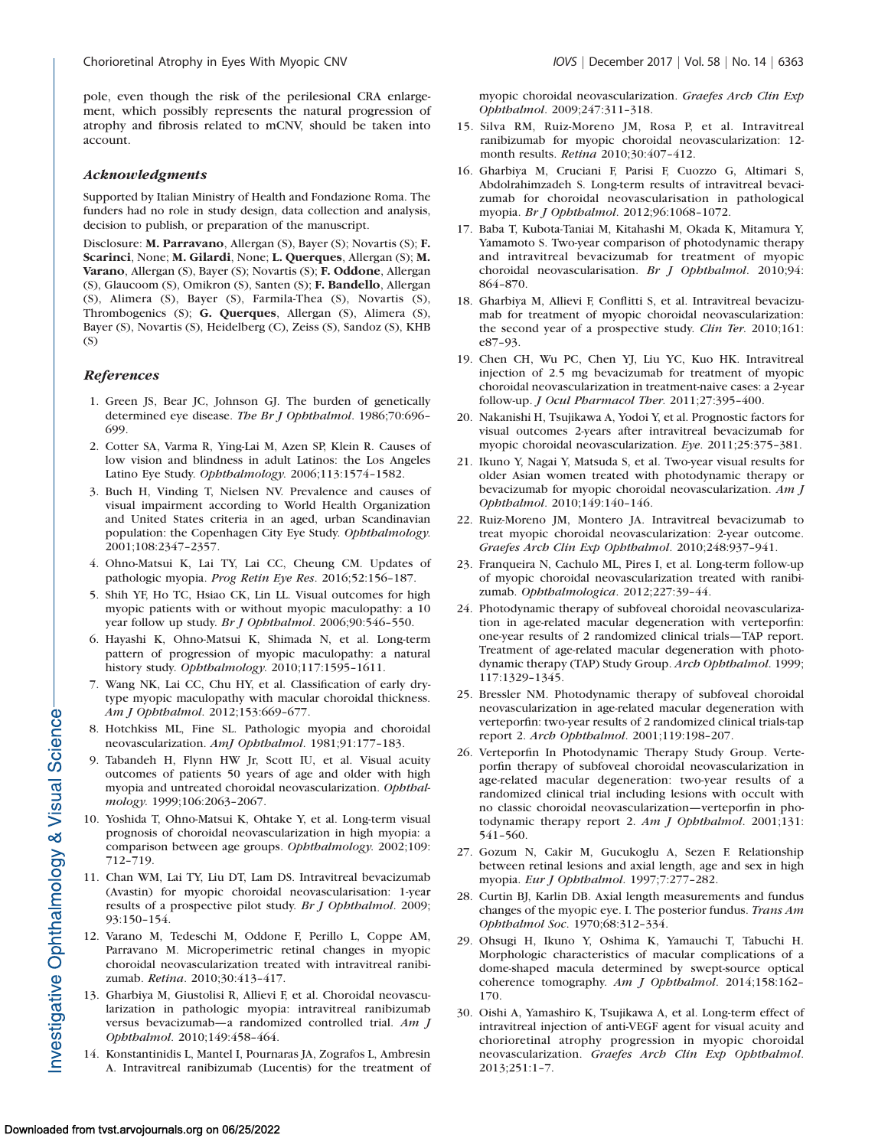pole, even though the risk of the perilesional CRA enlargement, which possibly represents the natural progression of atrophy and fibrosis related to mCNV, should be taken into account.

### Acknowledgments

Supported by Italian Ministry of Health and Fondazione Roma. The funders had no role in study design, data collection and analysis, decision to publish, or preparation of the manuscript.

Disclosure: M. Parravano, Allergan (S), Bayer (S); Novartis (S); F. Scarinci, None; M. Gilardi, None; L. Querques, Allergan (S); M. Varano, Allergan (S), Bayer (S); Novartis (S); F. Oddone, Allergan (S), Glaucoom (S), Omikron (S), Santen (S); F. Bandello, Allergan (S), Alimera (S), Bayer (S), Farmila-Thea (S), Novartis (S), Thrombogenics (S); G. Querques, Allergan (S), Alimera (S), Bayer (S), Novartis (S), Heidelberg (C), Zeiss (S), Sandoz (S), KHB  $(S)$ 

## **References**

- 1. Green JS, Bear JC, Johnson GJ. The burden of genetically determined eye disease. The Br J Ophthalmol. 1986;70:696– 699.
- 2. Cotter SA, Varma R, Ying-Lai M, Azen SP, Klein R. Causes of low vision and blindness in adult Latinos: the Los Angeles Latino Eye Study. Ophthalmology. 2006;113:1574–1582.
- 3. Buch H, Vinding T, Nielsen NV. Prevalence and causes of visual impairment according to World Health Organization and United States criteria in an aged, urban Scandinavian population: the Copenhagen City Eye Study. Ophthalmology. 2001;108:2347–2357.
- 4. Ohno-Matsui K, Lai TY, Lai CC, Cheung CM. Updates of pathologic myopia. Prog Retin Eye Res. 2016;52:156–187.
- 5. Shih YF, Ho TC, Hsiao CK, Lin LL. Visual outcomes for high myopic patients with or without myopic maculopathy: a 10 year follow up study. Br J Ophthalmol. 2006;90:546-550.
- 6. Hayashi K, Ohno-Matsui K, Shimada N, et al. Long-term pattern of progression of myopic maculopathy: a natural history study. Ophthalmology. 2010;117:1595–1611.
- 7. Wang NK, Lai CC, Chu HY, et al. Classification of early drytype myopic maculopathy with macular choroidal thickness. Am J Ophthalmol. 2012;153:669–677.
- 8. Hotchkiss ML, Fine SL. Pathologic myopia and choroidal neovascularization. AmJ Ophthalmol. 1981;91:177–183.
- 9. Tabandeh H, Flynn HW Jr, Scott IU, et al. Visual acuity outcomes of patients 50 years of age and older with high myopia and untreated choroidal neovascularization. Ophthalmology. 1999;106:2063–2067.
- 10. Yoshida T, Ohno-Matsui K, Ohtake Y, et al. Long-term visual prognosis of choroidal neovascularization in high myopia: a comparison between age groups. Ophthalmology. 2002;109: 712–719.
- 11. Chan WM, Lai TY, Liu DT, Lam DS. Intravitreal bevacizumab (Avastin) for myopic choroidal neovascularisation: 1-year results of a prospective pilot study. Br J Ophthalmol. 2009; 93:150–154.
- 12. Varano M, Tedeschi M, Oddone F, Perillo L, Coppe AM, Parravano M. Microperimetric retinal changes in myopic choroidal neovascularization treated with intravitreal ranibizumab. Retina. 2010;30:413-417.
- 13. Gharbiya M, Giustolisi R, Allievi F, et al. Choroidal neovascularization in pathologic myopia: intravitreal ranibizumab versus bevacizumab—a randomized controlled trial. Am J Ophthalmol. 2010;149:458–464.
- 14. Konstantinidis L, Mantel I, Pournaras JA, Zografos L, Ambresin A. Intravitreal ranibizumab (Lucentis) for the treatment of

myopic choroidal neovascularization. Graefes Arch Clin Exp Ophthalmol. 2009;247:311–318.

- 15. Silva RM, Ruiz-Moreno JM, Rosa P, et al. Intravitreal ranibizumab for myopic choroidal neovascularization: 12 month results. Retina 2010;30:407–412.
- 16. Gharbiya M, Cruciani F, Parisi F, Cuozzo G, Altimari S, Abdolrahimzadeh S. Long-term results of intravitreal bevacizumab for choroidal neovascularisation in pathological myopia. Br J Ophthalmol. 2012;96:1068–1072.
- 17. Baba T, Kubota-Taniai M, Kitahashi M, Okada K, Mitamura Y, Yamamoto S. Two-year comparison of photodynamic therapy and intravitreal bevacizumab for treatment of myopic choroidal neovascularisation. Br J Ophthalmol. 2010;94: 864–870.
- 18. Gharbiya M, Allievi F, Conflitti S, et al. Intravitreal bevacizumab for treatment of myopic choroidal neovascularization: the second year of a prospective study. Clin Ter. 2010;161: e87–93.
- 19. Chen CH, Wu PC, Chen YJ, Liu YC, Kuo HK. Intravitreal injection of 2.5 mg bevacizumab for treatment of myopic choroidal neovascularization in treatment-naive cases: a 2-year follow-up. J Ocul Pharmacol Ther. 2011;27:395–400.
- 20. Nakanishi H, Tsujikawa A, Yodoi Y, et al. Prognostic factors for visual outcomes 2-years after intravitreal bevacizumab for myopic choroidal neovascularization. Eye. 2011;25:375–381.
- 21. Ikuno Y, Nagai Y, Matsuda S, et al. Two-year visual results for older Asian women treated with photodynamic therapy or bevacizumab for myopic choroidal neovascularization. Am J Ophthalmol. 2010;149:140–146.
- 22. Ruiz-Moreno JM, Montero JA. Intravitreal bevacizumab to treat myopic choroidal neovascularization: 2-year outcome. Graefes Arch Clin Exp Ophthalmol. 2010;248:937–941.
- 23. Franqueira N, Cachulo ML, Pires I, et al. Long-term follow-up of myopic choroidal neovascularization treated with ranibizumab. Ophthalmologica. 2012;227:39–44.
- 24. Photodynamic therapy of subfoveal choroidal neovascularization in age-related macular degeneration with verteporfin: one-year results of 2 randomized clinical trials—TAP report. Treatment of age-related macular degeneration with photodynamic therapy (TAP) Study Group. Arch Ophthalmol. 1999; 117:1329–1345.
- 25. Bressler NM. Photodynamic therapy of subfoveal choroidal neovascularization in age-related macular degeneration with verteporfin: two-year results of 2 randomized clinical trials-tap report 2. Arch Ophthalmol. 2001;119:198–207.
- 26. Verteporfin In Photodynamic Therapy Study Group. Verteporfin therapy of subfoveal choroidal neovascularization in age-related macular degeneration: two-year results of a randomized clinical trial including lesions with occult with no classic choroidal neovascularization—verteporfin in photodynamic therapy report 2. Am J Ophthalmol. 2001;131: 541–560.
- 27. Gozum N, Cakir M, Gucukoglu A, Sezen F. Relationship between retinal lesions and axial length, age and sex in high myopia. Eur J Ophthalmol. 1997;7:277–282.
- 28. Curtin BJ, Karlin DB. Axial length measurements and fundus changes of the myopic eye. I. The posterior fundus. Trans Am Ophthalmol Soc. 1970;68:312–334.
- 29. Ohsugi H, Ikuno Y, Oshima K, Yamauchi T, Tabuchi H. Morphologic characteristics of macular complications of a dome-shaped macula determined by swept-source optical coherence tomography. Am J Ophthalmol. 2014;158:162-170.
- 30. Oishi A, Yamashiro K, Tsujikawa A, et al. Long-term effect of intravitreal injection of anti-VEGF agent for visual acuity and chorioretinal atrophy progression in myopic choroidal neovascularization. Graefes Arch Clin Exp Ophthalmol. 2013;251:1–7.

Investigative Ophthalmology & Visual Science